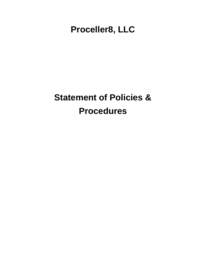**Proceller8, LLC**

# **Statement of Policies & Procedures**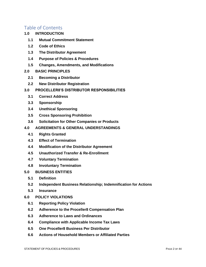### Table of Contents

- **1.0 [INTRODUCTION](#page-4-0)**
	- **1.1 [Mutual Commitment Statement](#page-4-1)**
	- **1.2 [Code of Ethics](#page-5-0)**
	- **1.3 [The Distributor Agreement](#page-5-1)**
	- **1.4 [Purpose of Policies & Procedures](#page-6-0)**
	- **1.5 [Changes, Amendments, and Modifications](#page-6-1)**
- **2.0 [BASIC PRINCIPLES](#page-6-2)**
	- **2.1 [Becoming a Distributor](#page-6-3)**
	- **2.2 [New Distributor Registration](#page-7-0)**
- **3.0 [PROCELLER8'S DISTRIBUTOR RESPONSIBILITIES](#page-7-1)**
	- **3.1 [Correct Address](#page-7-2)**
	- **3.3 [Sponsorship](#page-8-0)**
	- **3.4 [Unethical Sponsoring](#page-9-0)**
	- **3.5 [Cross Sponsoring Prohibition](#page-9-1)**
	- **3.6 [Solicitation for Other Companies or Products](#page-9-2)**
- **4.0 [AGREEMENTS & GENERAL UNDERSTANDINGS](#page-10-0)**
	- **4.1 [Rights Granted](#page-10-1)**
	- **4.3 [Effect of Termination](#page-11-0)**
	- **4.4 [Modification of the Distributor Agreement](#page-11-1)**
	- **4.5 [Unauthorized Transfer & Re-Enrollment](#page-11-2)**
	- **4.7 [Voluntary Termination](#page-12-0)**
	- **4.8 [Involuntary Termination](#page-12-1)**
- **5.0 [BUSINESS ENTITIES](#page-13-0)**
	- **5.1 [Definition](#page-13-1)**
	- **5.2 [Independent Business Relationship; Indemnification for Actions](#page-13-2)**
	- **5.3 [Insurance](#page-14-0)**
- **6.0 [POLICY VIOLATIONS](#page-14-1)**
	- **6.1 [Reporting Policy Violation](#page-14-2)**
	- **6.2 [Adherence to the Proceller8 Compensation Plan](#page-15-0)**
	- **6.3 [Adherence to Laws and Ordinances](#page-15-1)**
	- **6.4 [Compliance with Applicable Income Tax Laws](#page-16-0)**
	- **6.5 [One Proceller8 Business Per Distributor](#page-16-1)**
	- **6.6 [Actions of Household Members or Affiliated Parties](#page-16-2)**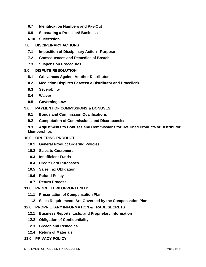- **6.7 [Identification Numbers and Pay-Out](#page-16-3)**
- **6.9 [Separating a Proceller8 Business](#page-17-0)**
- **6.10 [Succession](#page-18-0)**
- **7.0 [DISCIPLINARY ACTIONS](#page-19-0)**
	- **7.1 [Imposition of Disciplinary Action -](#page-19-1) Purpose**
	- **7.2 [Consequences and Remedies of Breach](#page-19-2)**
	- **7.3 [Suspension Procedures](#page-20-0)**
- **8.0 [DISPUTE RESOLUTION](#page-21-0)**
	- **8.1 [Grievances Against Another Distributor](#page-21-1)**
	- **8.2 [Mediation Disputes Between a Distributor and Proceller8](#page-22-0)**
	- **8.3 [Severability](#page-22-1)**
	- **8.4 [Waiver](#page-23-0)**
	- **8.5 [Governing Law](#page-23-1)**
- **9.0 [PAYMENT OF COMMISSIONS & BONUSES](#page-23-2)**
	- **9.1 [Bonus and Commission Qualifications](#page-23-3)**
	- **9.2 [Computation of Commissions and Discrepancies](#page-23-4)**
	- **9.3 [Adjustments to Bonuses and Commissions for Returned Products or Distributor](#page-24-0)  [Memberships](#page-24-0)**
- **10.0 [ORDERING PRODUCT](#page-24-1)**
	- **10.1 [General Product Ordering Policies](#page-24-2)**
	- **10.2 [Sales to Customers](#page-25-0)**
	- **10.3 [Insufficient Funds](#page-25-1)**
	- **10.4 [Credit Card Purchases](#page-26-0)**
	- **10.5 [Sales Tax Obligation](#page-26-1)**
	- **10.6 [Refund Policy](#page-26-2)**
	- **10.7 [Return Process](#page-28-0)**
- **11.0 [PROCELLER8 OPPORTUNITY](#page-28-1)**
	- **11.1 [Presentation of Compensation Plan](#page-28-2)**
	- **11.2 [Sales Requirements Are Governed by the Compensation Plan](#page-29-0)**
- **12.0 [PROPRIETARY INFORMATION & TRADE SECRETS](#page-29-1)**
	- **12.1 [Business Reports, Lists, and Proprietary Information](#page-29-2)**
	- **12.2 [Obligation of Confidentiality](#page-29-3)**
	- **12.3 [Breach and Remedies](#page-30-0)**
	- **12.4 [Return of Materials](#page-30-1)**
- **13.0 [PRIVACY POLICY](#page-30-2)**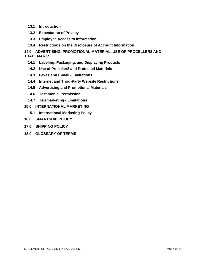- **13.1 [Introduction](#page-30-3)**
- **13.2 [Expectation of Privacy](#page-30-4)**
- **13.3 [Employee Access to Information](#page-30-5)**
- **13.4 [Restrictions on the Disclosure of Account Information](#page-31-0)**

**14.0 [ADVERTISING, PROMOTIONAL MATERIAL, USE OF PROCELLER8 AND](#page-31-1)  [TRADEMARKS](#page-31-1)**

- **14.1 [Labeling, Packaging, and Displaying Products](#page-31-2)**
- **14.2 [Use of Proceller8 and Protected Materials](#page-31-3)**
- **14.3 [Faxes and E-mail -](#page-33-0) Limitations**
- **14.4 [Internet and Third-Party Website Restrictions](#page-34-0)**
- **14.5 [Advertising and Promotional Materials](#page-35-0)**
- **14.6 [Testimonial Permission](#page-36-0)**
- **14.7 [Telemarketing -](#page-36-1) Limitations**
- **15.0 [INTERNATIONAL MARKETING](#page-38-0)**
	- **15.1 [International Marketing Policy](#page-38-1)**
- **16.0 SMARTSHIP POLICY**
- **17.0 SHIPPING POLICY**
- **18.0 [GLOSSARY OF TERMS](#page-39-0)**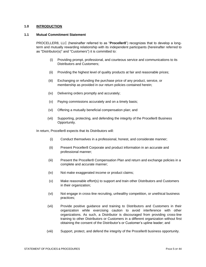#### <span id="page-4-0"></span>**1.0 INTRODUCTION**

#### <span id="page-4-1"></span>**1.1 Mutual Commitment Statement**

PROCELLER8, LLC (hereinafter referred to as "**Proceller8**") recognizes that to develop a longterm and mutually rewarding relationship with its independent participants (hereinafter referred to as "Distributor(s)" and "Customers") it is committed to:

- (i) Providing prompt, professional, and courteous service and communications to its Distributors and Customers;
- (ii) Providing the highest level of quality products at fair and reasonable prices;
- (iii) Exchanging or refunding the purchase price of any product, service, or membership as provided in our return policies contained herein;
- (iv) Delivering orders promptly and accurately;
- (v) Paying commissions accurately and on a timely basis;
- (vi) Offering a mutually beneficial compensation plan; and
- (vii) Supporting, protecting, and defending the integrity of the Proceller8 Business Opportunity.

In return, Proceller8 expects that its Distributors will:

- (i) Conduct themselves in a professional, honest, and considerate manner;
- (ii) Present Proceller8 Corporate and product information in an accurate and professional manner;
- (iii) Present the Proceller8 Compensation Plan and return and exchange policies in a complete and accurate manner;
- (iv) Not make exaggerated income or product claims;
- (v) Make reasonable effort(s) to support and train other Distributors and Customers in their organization;
- (vi) Not engage in cross-line recruiting, unhealthy competition, or unethical business practices;
- (vii) Provide positive guidance and training to Distributors and Customers in their organization while exercising caution to avoid interference with other organizations. As such, a Distributor is discouraged from providing cross-line training to other Distributors or Customers in a different organization without first obtaining the consent of the Distributor's or Customer's upline leader; and
- (viii) Support, protect, and defend the integrity of the Proceller8 business opportunity.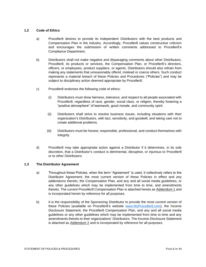#### <span id="page-5-0"></span>**1.2 Code of Ethics**

- a) Proceller8 desires to provide its independent Distributors with the best products and Compensation Plan in the industry. Accordingly, Proceller8 values constructive criticism and encourages the submission of written comments addressed to Proceller8's Compliance Department.
- b) Distributors shall not make negative and disparaging comments about other Distributors, Proceller8, its products or services, the Compensation Plan, or Proceller8's directors, officers, or employees, product suppliers, or agents. Distributors should also refrain from making any statements that unreasonably offend, mislead or coerce others. Such conduct represents a material breach of these Policies and Procedures ("Policies") and may be subject to disciplinary action deemed appropriate by Proceller8.
- c) Proceller8 endorses the following code of ethics:
	- (i) Distributors must show fairness, tolerance, and respect to all people associated with Proceller8, regardless of race, gender, social class, or religion, thereby fostering a "positive atmosphere" of teamwork, good morale, and community spirit.
	- (ii) Distributors shall strive to resolve business issues, including situations with their organization's Distributors, with tact, sensitivity, and goodwill, and taking care not to create additional problems.
	- (iii) Distributors must be honest, responsible, professional, and conduct themselves with integrity.
- d) Proceller8 may take appropriate action against a Distributor if it determines, in its sole discretion, that a Distributor's conduct is detrimental, disruptive, or injurious to Proceller8 or to other Distributors.

#### <span id="page-5-1"></span>**1.3 The Distributor Agreement**

- a) Throughout these Policies, when the term "Agreement" is used, it collectively refers to the Distributor Agreement, the most current version of these Policies in effect and any addendums thereto, the Compensation Plan, and any and all social media guidelines, or any other guidelines which may be implemented from time to time, and amendments thereto. The current Proceller8 Compensation Plan is attached hereto as Addendum 1 and is incorporated herein by reference for all purposes.
- b) It is the responsibility of the Sponsoring Distributor to provide the most current version of these Policies (available on Proceller8's website [www.MyProceller8.com\)](http://www.myproceller8.com/), the Income Disclosure Statement, the Proceller8 Compensation Plan, and any and all social media guidelines or any other guidelines which may be implemented from time to time and any amendments thereto to their organizations' Distributors. The Income Disclosure Statement is attached as Addendum 2 and is incorporated by reference for all purposes.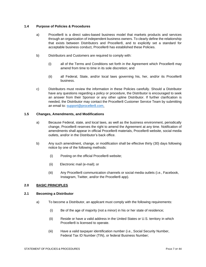#### <span id="page-6-0"></span>**1.4 Purpose of Policies & Procedures**

- a) Proceller8 is a direct sales-based business model that markets products and services through an organization of independent business owners. To clearly define the relationship that exists between Distributors and Proceller8, and to explicitly set a standard for acceptable business conduct, Proceller8 has established these Policies.
- b) Distributors and Customers are required to comply with:
	- (i) all of the Terms and Conditions set forth in the Agreement which Proceller8 may amend from time to time in its sole discretion; and
	- (ii) all Federal, State, and/or local laws governing his, her, and/or its Proceller8 business.
- c) Distributors must review the information in these Policies carefully. Should a Distributor have any questions regarding a policy or procedure, the Distributor is encouraged to seek an answer from their Sponsor or any other upline Distributor. If further clarification is needed, the Distributor may contact the Proceller8 Customer Service Team by submitting an email to: [support@proceller8.com.](mailto:support@proceller8.com)

#### <span id="page-6-1"></span>**1.5 Changes, Amendments, and Modifications**

- a) Because Federal, state, and local laws, as well as the business environment, periodically change, Proceller8 reserves the right to amend the Agreement at any time. Notification of amendments shall appear in official Proceller8 materials, Proceller8 website, social media outlets, and/or in the Distributor's back office.
- b) Any such amendment, change, or modification shall be effective thirty (30) days following notice by one of the following methods:
	- (i) Posting on the official Proceller8 website;
	- (ii) Electronic mail (e-mail); or
	- (iii) Any Proceller8 communication channels or social media outlets (i.e., Facebook, Instagram, Twitter, and/or the Proceller8 app).

#### <span id="page-6-2"></span>**2.0 BASIC PRINCIPLES**

#### <span id="page-6-3"></span>**2.1 Becoming a Distributor**

- a) To become a Distributor, an applicant must comply with the following requirements:
	- (i) Be of the age of majority (not a minor) in his or her state of residence;
	- (ii) Reside or have a valid address in the United States or U.S. territory in which Proceller8 is licensed to operate.
	- (iii) Have a valid taxpayer identification number (i.e., Social Security Number, Federal Tax ID Number (TIN), or federal Business Number;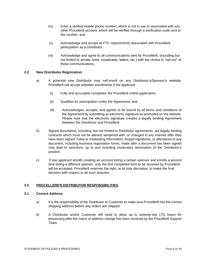- (iv) Enter a verified mobile phone number, which is not in use or associated with any other Proceller8 account, which will be verified through a verification code sent to the number; and
- (v) Acknowledge and accept all FTC requirements associated with Proceller8 participation as a Distributor.
- (vi) Acknowledge and agree to all communications sent by Proceller8, (including but not limited to emails, texts, broadcasts, letters, etc.) with the choice to "opt-out" of these communications.

#### <span id="page-7-0"></span>**2.2 New Distributor Registration**

- a) A potential new Distributor may self-enroll on any Distributor's/Sponsor's website. Proceller8 will accept websites enrollments if the applicant:
	- (i) Fully and accurately completes the Proceller8 online application;
	- (ii) Qualifies for participation under the Agreement; and
	- (iii) Acknowledges, accepts, and agrees to be bound by all terms and conditions of the Agreement by submitting an electronic signature as promoted on the website. Please note that the electronic signature creates a legally binding Agreement between the Distributor and Proceller8.
- b) Signed documents, including, but not limited to Distributor agreements, are legally binding contracts which must not be altered, tampered with, or changed in any manner after they have been signed. False or misleading information, forged signatures, or alterations to any document, including business registration forms, made after a document has been signed may lead to sanctions, up to and including involuntary termination of the Distributor's position.
- c) If one applicant enrolls creating an account listing a certain sponsor and enrolls a second time listing a different sponsor, only the first completed form to be received by Proceller8 will be accepted. Proceller8 reserves the right, at its sole discretion, to make the final decision with respect to all such disputes.

#### <span id="page-7-1"></span>**3.0 PROCELLER8'S DISTRIBUTOR RESPONSIBILITIES**

#### <span id="page-7-2"></span>**3.1 Correct Address**

.

- a) It is the responsibility of the Distributor or Customer to make sure Proceller8 has the correct shipping address before any orders are shipped.
- b) A Distributor and/or Customer will need to allow up to seventy-two (72) hours for processing after the notice of address change has been received by the Proceller8 Support Team.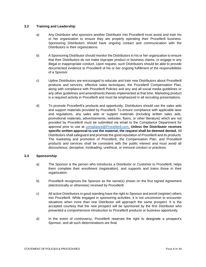#### **3.2 Training and Leadership**

- a) Any Distributor who sponsors another Distributor into Proceller8 must assist and train his or her organization to ensure they are properly operating their Proceller8 business. Sponsoring Distributors should have ongoing contact and communication with the Distributors in their organizations.
- b) A Sponsoring Distributor should monitor the Distributors in his or her organization to ensure that their Distributors do not make improper product or business claims, or engage in any illegal or inappropriate conduct. Upon request, such Distributors should be able to provide documented evidence to Proceller8 of his or her ongoing fulfillment of the responsibilities of a Sponsor.
- c) Upline Distributors are encouraged to educate and train new Distributors about Proceller8 products and services, effective sales techniques, the Proceller8 Compensation Plan, along with compliance with Proceller8 Policies and any and all social media guidelines or any other guidelines and amendments thereto implemented at that time. Marketing product is a required activity in Proceller8 and must be emphasized in all recruiting presentations.
- d) To promote Proceller8's products and opportunity, Distributors should use the sales aids and support materials provided by Proceller8. To ensure compliance with applicable laws and regulations, any sales aids or support materials (including written sales aids, promotional materials, advertisements, websites, flyers, or other literature) which are not provided by Proceller8 must be submitted via email to the Compliance Department for approval prior to use at [compliance@Proceller8.com.](mailto:compliance@Proceller8.com) **Unless the Distributor receives specific written approval to use the material, the request shall be deemed denied.** All Distributors shall safeguard and promote the good reputation of Proceller8 and its products. The marketing and promotion of Proceller8, the Compensation Plan, and Proceller8 products and services shall be consistent with the public interest and must avoid all discourteous, deceptive, misleading, unethical, or immoral conduct or practices.

#### <span id="page-8-0"></span>**3.3 Sponsorship**

- a) The Sponsor is the person who introduces a Distributor or Customer to Proceller8, helps them complete their enrollment (registration), and supports and trains those in their organization.
- b) Proceller8 recognizes the Sponsor as the name(s) shown on the first signed Agreement (electronically or otherwise) received by Proceller8.
- c) All active Distributors in good standing have the right to Sponsor and enroll (register) others into Proceller8. While engaged in sponsoring activities, it is not uncommon to encounter situations when more than one Distributor will approach the same prospect. It is the accepted courtesy that the new prospect will be sponsored by the first Distributor who presented a comprehensive introduction to Proceller8 products or business opportunity.
- d) In the event of controversy, Proceller8 reserves the right to designate a prospect's Sponsor, and all such determinations are final.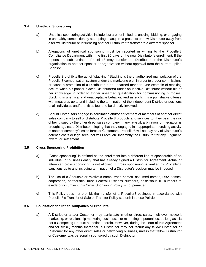#### <span id="page-9-0"></span>**3.4 Unethical Sponsoring**

- a) Unethical sponsoring activities include, but are not limited to, enticing, bidding, or engaging in unhealthy competition by attempting to acquire a prospect or new Distributor away from a fellow Distributor or influencing another Distributor to transfer to a different sponsor.
- b) Allegations of unethical sponsoring must be reported in writing to the Proceller8 Compliance Department within the first 30 days of the new Distributor's enrollment. If the reports are substantiated, Proceller8 may transfer the Distributor or the Distributor's organization to another sponsor or organization without approval from the current upline Sponsor.
- c) Proceller8 prohibits the act of "stacking." Stacking is the unauthorized manipulation of the Proceller8 compensation system and/or the marketing plan in order to trigger commissions or cause a promotion of a Distributor in an unearned manner. One example of stacking occurs when a Sponsor places Distributor(s) under an inactive Distributor without his or her knowledge in order to trigger unearned qualification for commissioning purposes. Stacking is unethical and unacceptable behavior, and as such, it is a punishable offense with measures up to and including the termination of the independent Distributor positions of all individuals and/or entities found to be directly involved.
- d) Should Distributors engage in solicitation and/or enticement of members of another direct sales company to sell or distribute Proceller8 products and services to, they bear the risk of being sued by the other direct sales company. If any lawsuit, arbitration, or mediation is brought against a Distributor alleging that they engaged in inappropriate recruiting activity of another company's sales force or Customers, Proceller8 will not pay any of Distributor's defense costs or legal fees, nor will Proceller8 indemnify the Distributor for any judgment, award, or settlement.

#### <span id="page-9-1"></span>**3.5 Cross Sponsoring Prohibition**

- a) "Cross sponsoring" is defined as the enrollment into a different line of sponsorship of an individual, or business entity, that has already signed a Distributor Agreement. Actual or attempted cross sponsoring is not allowed. If cross sponsoring is verified by Proceller8, sanctions up to and including termination of a Distributor's position may be imposed.
- b) The use of a Spouse's or relative's name, trade names, assumed names, DBA names, corporation, partnership, trust, Federal Business Numbers, or fictitious ID numbers to evade or circumvent this Cross Sponsoring Policy is not permitted.
- c) This Policy does not prohibit the transfer of a Proceller8 business in accordance with Proceller8's Transfer of Sale or Transfer Policy set forth in these Policies.

#### <span id="page-9-2"></span>**3.6 Solicitation for Other Companies or Products**

a) A Distributor and/or Customer may participate in other direct sales, multilevel, network marketing, or relationship marketing businesses or marketing opportunities, as long as it is not a Competing Product as defined herein. However, during the Term of this Agreement and for six (6) months thereafter, a Distributor may not recruit any fellow Distributor or Customer for any other direct sales or networking business, unless that fellow Distributor or Customer was personally sponsored by such Distributor.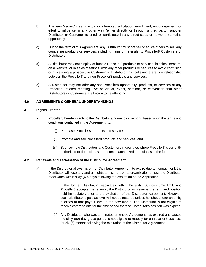- b) The term "recruit" means actual or attempted solicitation, enrollment, encouragement, or effort to influence in any other way (either directly or through a third party), another Distributor or Customer to enroll or participate in any direct sales or network marketing opportunity.
- c) During the term of this Agreement, any Distributor must not sell or entice others to sell, any competing products or services, including training materials, to Proceller8 Customers or **Distributors**
- d) A Distributor may not display or bundle Proceller8 products or services, in sales literature, on a website, or in sales meetings, with any other products or services to avoid confusing or misleading a prospective Customer or Distributor into believing there is a relationship between the Proceller8 and non-Proceller8 products and services.
- e) A Distributor may not offer any non-Proceller8 opportunity, products, or services at any Proceller8 related meeting, live or virtual, event, seminar, or convention that other Distributors or Customers are known to be attending.

#### <span id="page-10-0"></span>**4.0 AGREEMENTS & GENERAL UNDERSTANDINGS**

#### <span id="page-10-1"></span>**4.1 Rights Granted**

- a) Proceller8 hereby grants to the Distributor a non-exclusive right, based upon the terms and conditions contained in the Agreement, to:
	- (i) Purchase Proceller8 products and services;
	- (ii) Promote and sell Proceller8 products and services; and
	- (iii) Sponsor new Distributors and Customers in countries where Proceller8 is currently authorized to do business or becomes authorized to business in the future.

#### **4.2 Renewals and Termination of the Distributor Agreement**

- a) If the Distributor allows his or her Distributor Agreement to expire due to nonpayment, the Distributor will lose any and all rights to his, her, or its organization unless the Distributor reactivates within sixty (60) days following the expiration of the Application.
	- (i) If the former Distributor reactivates within the sixty (60) day time limit, and Proceller8 accepts the renewal, the Distributor will resume the rank and position held immediately prior to the expiration of the Distributor Agreement. However, such Distributor's paid as level will not be restored unless he, she, and/or an entity qualifies at that payout level in the new month. The Distributor is not eligible to receive commissions for the time period that the Distributor's position was expired.
	- (ii) Any Distributor who was terminated or whose Agreement has expired and lapsed the sixty (60) day grace period is not eligible to reapply for a Proceller8 business for six (6) months following the expiration of the Distributor Agreement.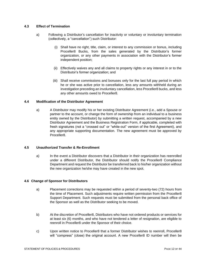#### <span id="page-11-0"></span>**4.3 Effect of Termination**

- a) Following a Distributor's cancellation for inactivity or voluntary or involuntary termination (collectively, a "cancellation") such Distributor:
	- (i) Shall have no right, title, claim, or interest to any commission or bonus, including Proceller8 Bucks, from the sales generated by the Distributor's former organization, or any other payments in association with the Distributor's former independent position;
	- (ii) Effectively waives any and all claims to property rights or any interest in or to the Distributor's former organization; and
	- (iii) Shall receive commissions and bonuses only for the last full pay period in which he or she was active prior to cancellation, less any amounts withheld during an investigation preceding an involuntary cancellation, less Proceller8 bucks, and less any other amounts owed to Proceller8.

#### <span id="page-11-1"></span>**4.4 Modification of the Distributor Agreement**

a) A Distributor may modify his or her existing Distributor Agreement (i.e., add a Spouse or partner to the account, or change the form of ownership from an individual to a business entity owned by the Distributor) by submitting a written request, accompanied by a new Distributor Agreement and the Business Registration Form, if applicable, completed with fresh signatures (not a "crossed out" or "white-out" version of the first Agreement), and any appropriate supporting documentation. The new agreement must be approved by Proceller8.

#### <span id="page-11-2"></span>**4.5 Unauthorized Transfer & Re-Enrollment**

a) In the event a Distributor discovers that a Distributor in their organization has reenrolled under a different Distributor, the Distributor should notify the Proceller8 Compliance Department and request the Distributor be transferred back to his/her organization without the new organization he/she may have created in the new spot.

#### **4.6 Change of Sponsor for Distributors**

- a) Placement corrections may be requested within a period of seventy-two (72) hours from the time of Placement. Such adjustments require written permission from the Proceller8 Support Department. Such requests must be submitted from the personal back office of the Sponsor as well as the Distributor seeking to be moved.
- b) At the discretion of Proceller8, Distributors who have not ordered products or services for at least six (6) months, and who have not tendered a letter of resignation, are eligible to reenroll in Proceller8 under the Sponsor of their choice.
- c) Upon written notice to Proceller8 that a former Distributor wishes to reenroll, Proceller8 will "compress" (close) the original account. A new Proceller8 ID number will then be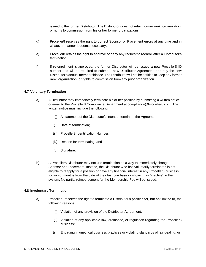issued to the former Distributor. The Distributor does not retain former rank, organization, or rights to commission from his or her former organizations.

- d) Proceller8 reserves the right to correct Sponsor or Placement errors at any time and in whatever manner it deems necessary.
- e) Proceller8 retains the right to approve or deny any request to reenroll after a Distributor's termination.
- f) If re-enrollment is approved, the former Distributor will be issued a new Proceller8 ID number and will be required to submit a new Distributor Agreement, and pay the new Distributor's annual membership fee. The Distributor will not be entitled to keep any former rank, organization, or rights to commission from any prior organization.

#### <span id="page-12-0"></span>**4.7 Voluntary Termination**

- a) A Distributor may immediately terminate his or her position by submitting a written notice or email to the Proceller8 Compliance Department at compliance@Proceller8.com. The written notice must include the following:
	- (i) A statement of the Distributor's intent to terminate the Agreement;
	- (ii) Date of termination;
	- (iii) Proceller8 Identification Number;
	- (iv) Reason for terminating; and
	- (v) Signature.
- b) A Proceller8 Distributor may not use termination as a way to immediately change Sponsor and Placement. Instead, the Distributor who has voluntarily terminated is not eligible to reapply for a position or have any financial interest in any Proceller8 business for six (6) months from the date of their last purchase or showing as "inactive" in the system. No partial reimbursement for the Membership Fee will be issued.

#### <span id="page-12-1"></span>**4.8 Involuntary Termination**

- a) Proceller8 reserves the right to terminate a Distributor's position for, but not limited to, the following reasons:
	- (i) Violation of any provision of the Distributor Agreement;
	- (ii) Violation of any applicable law, ordinance, or regulation regarding the Proceller8 business;
	- (iii) Engaging in unethical business practices or violating standards of fair dealing; or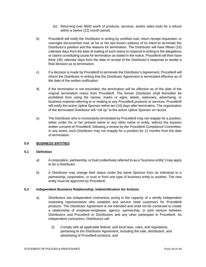- (iv) Returning over \$500 worth of products, services, and/or sales tools for a refund within a twelve (12) month period.
- b) Proceller8 will notify the Distributor in writing by certified mail, return receipt requested, or overnight documented mail, at his or her last known address of its intent to terminate the Distributor's position and the reasons for termination. The Distributor will have fifteen (15) calendar days from the date of mailing of such notice to respond in writing to the allegations or claims constituting cause for termination as stated in the notice. Proceller8 will then have thirty (30) calendar days from the date of receipt of the Distributor's response to render a final decision as to termination.
- c) If a decision is made by Proceller8 to terminate the Distributor's Agreement, Proceller8 will inform the Distributor in writing that the Distributor Agreement is terminated effective as of the date of the written notification.
- d) If the termination is not rescinded, the termination will be effective as of the date of the original termination notice from Proceller8. The former Distributor shall thereafter be prohibited from using the names, marks or signs, labels, stationery, advertising, or business material referring to or relating to any Proceller8 products or services. Proceller8 will notify the active Upline Sponsor within ten (10) days after termination. The organization of the terminated Distributor will "roll up" to the active Upline Sponsor on record.
- e) The Distributor who is involuntarily terminated by Proceller8 may not reapply for a position, either under his or her present name or any other name or entity, without the express written consent of Proceller8, following a review by the Proceller8 Compliance Committee. In any event, such Distributor may not reapply for a position for 12 months from the date of termination.

#### <span id="page-13-0"></span>**5.0 BUSINESS ENTITIES**

#### <span id="page-13-1"></span>**5.1 Definition**

- a) A corporation, partnership, or trust (collectively referred to as a "business entity") may apply to be a Distributor.
- b) A Distributor may change their status under the same Sponsor from an individual to a partnership, corporation, or trust or from one type of business entity to another. The new entity must be approved by Proceller8.

#### <span id="page-13-2"></span>**5.2 Independent Business Relationship; Indemnification for Actions**

- a) Distributors are independent contractors acting in the capacity of a wholly independent marketing representative who establish and service retail customers for Proceller8 products. The Distributor Agreement is not intended and shall not be construed to create a relationship of employer-employee, agency, partnership, or joint venture between Distributors and Proceller8 or Distributors and any other participant in Proceller8. As independent contractors, Distributors will:
	- (i) Comply with all applicable federal, and local laws, rules, and regulations pertaining to the Distributor Agreement, including the sale, distribution, and advertising of Proceller8 products, and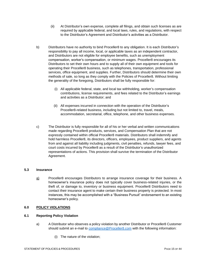- (ii) At Distributor's own expense, complete all filings, and obtain such licenses as are required by applicable federal, and local laws, rules, and regulations, with respect to the Distributor's Agreement and Distributor's activities as a Distributor.
- b) Distributors have no authority to bind Proceller8 to any obligation. It is each Distributor's responsibility to pay all income, local, or applicable taxes as an independent contractor, and Distributors are not eligible for employee benefits, such as unemployment compensation, worker's compensation, or minimum wages. Proceller8 encourages its Distributors to set their own hours and to supply all of their own equipment and tools for operating their Proceller8 business, such as telephones, transportation, professional services, office equipment, and supplies. Further, Distributors should determine their own methods of sale, so long as they comply with the Policies of Proceller8. Without limiting the generality of the foregoing, Distributors shall be fully responsible for:
	- (i) All applicable federal, state, and local tax withholding, worker's compensation contributions, license requirements, and fees related to the Distributor's earnings and activities as a Distributor; and
	- (ii) All expenses incurred in connection with the operation of the Distributor's Proceller8-related business, including but not limited to, travel, meals, accommodation, secretarial, office, telephone, and other business expenses.
- c) The Distributor is fully responsible for all of his or her verbal and written communications made regarding Proceller8 products, services, and Compensation Plan that are not expressly contained within official Proceller8 materials. Distributors shall indemnify and hold harmless Proceller8, its directors, officers, employees, product suppliers, and agents from and against all liability including judgments, civil penalties, refunds, lawyer fees, and court costs incurred by Proceller8 as a result of the Distributor's unauthorized representations of actions. This provision shall survive the termination of the Distributor Agreement.

#### <span id="page-14-0"></span>**5.3 Insurance**

a) Proceller8 encourages Distributors to arrange insurance coverage for their business. A homeowner's insurance policy does not typically cover business-related injuries, or the theft of, or damage to, inventory or business equipment. Proceller8 Distributors need to contact their insurance agent to make certain their business property is protected. In most instances, this may be accomplished with a "Business Pursuit" endorsement to an existing homeowner's policy.

#### <span id="page-14-1"></span>**6.0 POLICY VIOLATIONS**

#### <span id="page-14-2"></span>**6.1 Reporting Policy Violation**

- a) A Distributor who observes a policy violation by another Distributor or Proceller8 Customer should submit an e-mail to [compliance@Proceller8.com](mailto:compliance@Proceller8.com) with the following information:
	- (i) The nature of the violation;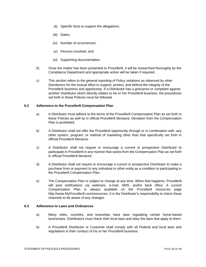- (ii) Specific facts to support the allegations;
- (iii) Dates;
- (iv) Number of occurrences;
- (v) Persons involved; and
- (vi) Supporting documentation.
- b) Once the matter has been presented to Proceller8, it will be researched thoroughly by the Compliance Department and appropriate action will be taken if required.
- c) This section refers to the general reporting of Policy violations as observed by other Distributors for the mutual effort to support, protect, and defend the integrity of the Proceller8 business and opportunity. If a Distributor has a grievance or complaint against another Distributor which directly relates to his or her Proceller8 business, the procedures set forth in these Policies must be followed.

#### <span id="page-15-0"></span>**6.2 Adherence to the Proceller8 Compensation Plan**

- a) A Distributor must adhere to the terms of the Proceller8 Compensation Plan as set forth in these Policies as well as in official Proceller8 literature. Deviation from the Compensation Plan is prohibited.
- b) A Distributor shall not offer the Proceller8 opportunity through or in combination with, any other system, program, or method of marketing other than that specifically set forth in official Proceller8 literature.
- c) A Distributor shall not require or encourage a current or prospective Distributor to participate in Proceller8 in any manner that varies from the Compensation Plan as set forth in official Proceller8 literature.
- d) A Distributor shall not require or encourage a current or prospective Distributor to make a purchase from or payment to any individual or other entity as a condition to participating in the Proceller8 Compensation Plan.
- e) The Compensation Plan is subject to change at any time. When that happens, Proceller8 will post notifications via webinars, e-mail, SMS, and/or back office. A current Compensation Plan is always available on the Proceller8 resources page http://www.MyProceller8.com/resources. It is the Distributor's responsibility to check these channels to be aware of any changes.

#### <span id="page-15-1"></span>**6.3 Adherence to Laws and Ordinances**

- a) Many cities, counties, and townships have laws regulating certain home-based businesses. Distributors must check their local laws and obey the laws that apply to them.
- b) A Proceller8 Distributor or Customer shall comply with all Federal and local laws and regulations in their conduct of his or her Proceller8 business.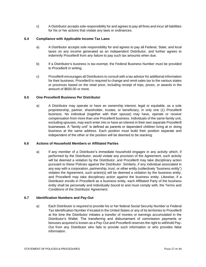c) A Distributor accepts sole responsibility for and agrees to pay all fines and incur all liabilities for his or her actions that violate any laws or ordinances.

#### <span id="page-16-0"></span>**6.4 Compliance with Applicable Income Tax Laws**

- a) A Distributor accepts sole responsibility for and agrees to pay all Federal, State, and local taxes on any income generated as an independent Distributor, and further agrees to indemnify Proceller8 from any failure to pay such tax amounts when due.
- b) If a Distributor's business is tax-exempt, the Federal Business Number must be provided to Proceller8 in writing.
- c) Proceller8 encourages all Distributors to consult with a tax advisor for additional information for their business. Proceller8 is required to change and remit sales tax to the various states or provinces based on the retail price, including receipt of trips, prizes, or awards in the amount of \$600.00 or more.

#### <span id="page-16-1"></span>**6.5 One Proceller8 Business Per Distributor**

a) A Distributor may operate or have an ownership interest, legal or equitable, as a sole proprietorship, partner, shareholder, trustee, or beneficiary, in only one (1) Proceller8 business. No individual (together with their spouse) may have, operate or receive compensation from more than one Proceller8 business. Individuals of the same family unit, excluding spouses, may each enter into or have an interest in their own separate Proceller8 businesses. A "family unit" is defined as parents or dependent children living at or doing business at the same address. Each position must build their position separate and independent of the other or the position will be deemed to be stacking.

#### <span id="page-16-2"></span>**6.6 Actions of Household Members or Affiliated Parties**

a) If any member of a Distributor's immediate household engages in any activity which, if performed by the Distributor, would violate any provision of the Agreement, such activity will be deemed a violation by the Distributor, and Proceller8 may take disciplinary action pursuant to these Policies against the Distributor. Similarly, if any individual associated in any way with a corporation, partnership, trust, or other entity (collectively "business entity") violates the Agreement, such action(s) will be deemed a violation by the business entity, and Proceller8 may take disciplinary action against the business entity. Likewise, if a Distributor enrolls in Proceller8 as a business entity, each Affiliated Party of the business entity shall be personally and individually bound to and must comply with, the Terms and Conditions of the Distributor Agreement.

#### <span id="page-16-3"></span>**6.7 Identification Numbers and Pay-Out**

a) Each Distributor is required to provide his or her federal Social Security Number or Federal Tax Identification Number if located in the United States or any of its territories to Proceller8 at the time the Distributor initiates a transfer of monies or earnings accumulated in the Distributor's Wallet. The transferring and disbursement of commission payments or bonuses acquired is known as a Pay-Out and Proceller8 reserves the right to withhold Pay-Out from any Distributor who fails to provide such information or who provides false information.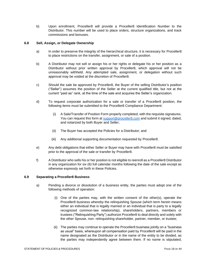b) Upon enrollment, Proceller8 will provide a Proceller8 Identification Number to the Distributor. This number will be used to place orders, structure organizations, and track commissions and bonuses.

#### **6.8 Sell, Assign, or Delegate Ownership**

- a) In order to preserve the integrity of the hierarchical structure, it is necessary for Proceller8 to place restrictions on the transfer, assignment, or sale of a position.
- b) A Distributor may not sell or assign his or her rights or delegate his or her position as a Distributor without prior written approval by Proceller8, which approval will not be unreasonably withheld. Any attempted sale, assignment, or delegation without such approval may be voided at the discretion of Proceller8.
- c) Should the sale be approved by Proceller8, the Buyer of the selling Distributor's position ("Seller") assumes the position of the Seller at the current qualified title, but not at the current "paid as" rank, at the time of the sale and acquires the Seller's organization.
- d) To request corporate authorization for a sale or transfer of a Proceller8 position, the following items must be submitted to the Proceller8 Compliance Department:
	- (i) A Sale/Transfer of Position Form properly completed, with the requisite signatures. You can request this form a[t support@proceller8.com](mailto:support@proceller8.com) and submit it signed, dated, and notarized by both Buyer and Seller;
	- (ii) The Buyer has accepted the Policies for a Distributor; and
	- (iii) Any additional supporting documentation requested by Proceller8.
- e) Any debt obligations that either Seller or Buyer may have with Proceller8 must be satisfied prior to the approval of the sale or transfer by Proceller8.
- f) A Distributor who sells his or her position is not eligible to reenroll as a Proceller8 Distributor in any organization for six (6) full calendar months following the date of the sale except as otherwise expressly set forth in these Policies.

#### <span id="page-17-0"></span>**6.9 Separating a Proceller8 Business**

- a) Pending a divorce or dissolution of a business entity, the parties must adopt one of the following methods of operation:
	- (i) One of the parties may, with the written consent of the other(s), operate the Proceller8 business whereby the relinquishing Spouse (which term herein means either an individual that is legally married or an individual that is party to a legally recognized common-law relationship), shareholders, partners, members or trustees ("Relinquishing Party") authorize Proceller8 to deal directly and solely with the other Spouse, non- relinquishing shareholder, partner, member, or trustee;
	- (ii) The parties may continue to operate the Proceller8 business jointly on a "business as usual" basis, whereupon all compensation paid by Proceller8 will be paid in the name designated as the Distributor or in the name of the entity to be divided, as the parties may independently agree between them. If no name is stipulated,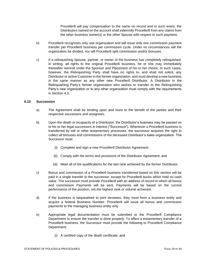Proceller8 will pay compensation to the name on record and in such event, the Distributors named on the account shall indemnify Proceller8 from any claims from the other business owner(s) or the other Spouse with respect to such payment.

- b) Proceller8 recognizes only one organization and will issue only one commission payment transfer per Proceller8 business per commission cycle. Under no circumstances will the organization be divided, nor will Proceller8 split commission and/or bonuses.
- c) If a relinquishing Spouse, partner, or owner of the business has completely relinquished, in writing, all rights to the original Proceller8 business, he or she may immediately thereafter reenroll under the Sponsor and Placement of his or her choice. In such cases, however, the Relinquishing Party shall have no rights to, and shall not solicit, any Distributor or active Customer in the former organization, and must develop a new business in the same manner as any other new Proceller8 Distributor. A Distributor in the Relinquishing Party's former organization who wishes to transfer to the Relinquishing Party's new organization or to any other organization must comply with the requirements in Section 4.0.

#### <span id="page-18-0"></span>**6.10 Succession**

- a) The Agreement shall be binding upon and inure to the benefit of the parties and their respective successors and assignees.
- b) Upon the death or incapacity of a Distributor, the Distributor's business may be passed on to his or her legal successors in interest ("Successor"). Whenever a Proceller8 business is transferred by will or other testamentary processes, the successor acquires the right to collect all bonuses and commissions of the deceased Distributor's sales organization. The Successor must:
	- (i) Complete and sign a new Proceller8 Distributor Agreement;
	- (ii) Comply with the terms and provisions of the Distributor Agreement; and
	- (iii) Meet all of the qualifications for the last rank achieved by the former Distributor.
- c) Bonus and commission of a Proceller8 business transferred based on this section will be paid in a single transfer to the successor, except for Proceller8 bucks which hold no cash value. The successor must provide Proceller8 with an address of record to which all bonus and commission Payments will be sent. Payments will be based on the current performance of the position, not the highest rank or volume achieved.
- d) If the business is bequeathed to joint devisees, they must form a business entity and acquire a federal Business Number. Proceller8 will issue all bonus and commission payments to the managing business entity only.
- e) Appropriate legal documentation must be submitted to the Proceller8 Compliance Department to ensure the transfer is done properly. To affect a testamentary transfer of a Proceller8 business, the Successor must provide the following to Proceller8 Compliance Department:
	- (i) A certified copy of the death certificate; and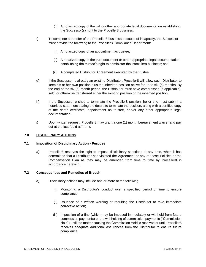- (ii) A notarized copy of the will or other appropriate legal documentation establishing the Successor(s) right to the Proceller8 business.
- f) To complete a transfer of the Proceller8 business because of incapacity, the Successor must provide the following to the Proceller8 Compliance Department:
	- (i) A notarized copy of an appointment as trustee;
	- (ii) A notarized copy of the trust document or other appropriate legal documentation establishing the trustee's right to administer the Proceller8 business; and
	- (iii) A completed Distributor Agreement executed by the trustee.
- g) If the Successor is already an existing Distributor, Proceller8 will allow such Distributor to keep his or her own position plus the inherited position active for up to six (6) months. By the end of the six (6) month period, the Distributor must have compressed (if applicable), sold, or otherwise transferred either the existing position or the inherited position.
- h) If the Successor wishes to terminate the Proceller8 position, he or she must submit a notarized statement stating the desire to terminate the position, along with a certified copy of the death certificate, appointment as trustee, and/or any other appropriate legal documentation.
- i) Upon written request, Proceller8 may grant a one (1) month bereavement waiver and pay out at the last "paid as" rank.

#### <span id="page-19-0"></span>**7.0 DISCIPLINARY ACTIONS**

#### <span id="page-19-1"></span>**7.1 Imposition of Disciplinary Action - Purpose**

a) Proceller8 reserves the right to impose disciplinary sanctions at any time, when it has determined that a Distributor has violated the Agreement or any of these Policies or the Compensation Plan as they may be amended from time to time by Proceller8 in accordance herewith.

#### <span id="page-19-2"></span>**7.2 Consequences and Remedies of Breach**

- a) Disciplinary actions may include one or more of the following:
	- (i) Monitoring a Distributor's conduct over a specified period of time to ensure compliance;
	- (ii) Issuance of a written warning or requiring the Distributor to take immediate corrective action;
	- (iii) Imposition of a fine (which may be imposed immediately or withheld from future commission payments) or the withholding of commission payments ("Commission Hold") until the matter causing the Commission Hold is resolved or until Proceller8 receives adequate additional assurances from the Distributor to ensure future compliance;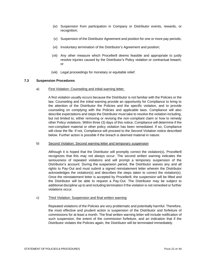- (iv) Suspension from participation in Company or Distributor events, rewards, or recognition;
- (v) Suspension of the Distributor Agreement and position for one or more pay periods;
- (vi) Involuntary termination of the Distributor's Agreement and position;
- (vii) Any other measure which Proceller8 deems feasible and appropriate to justly resolve injuries caused by the Distributor's Policy violation or contractual breach; or
- (viii) Legal proceedings for monetary or equitable relief.

#### <span id="page-20-0"></span>**7.3 Suspension Procedures**

a) First Violation: Counseling and initial warning letter.

A first violation usually occurs because the Distributor is not familiar with the Policies or the law. Counseling and the initial warning provide an opportunity for Compliance to bring to the attention of the Distributor the Policies and the specific violation, and to provide counseling on complying with the Policies and applicable laws. Compliance will also describe expectations and steps the Distributor must take to resolve the violation including, but not limited to, either removing or revising the non-compliant claim or how to remedy other Policy violations. Within three (3) days of this notice, Compliance will determine if the non-compliant material or other policy violation has been remediated. If so, Compliance will close the file. If not, Compliance will proceed to the Second Violation notice described below. Further action is possible if the breach is deemed material in nature.

#### b) Second Violation: Second warning letter and temporary suspension

Although it is hoped that the Distributor will promptly correct the violation(s), Proceller8 recognizes that this may not always occur. The second written warning indicates the seriousness of repeated violations and will prompt a temporary suspension of the Distributor's account. During the suspension period, the Distributor waives any and all rights to Pay-Out and must submit a signed reinstatement letter wherein the Distributor acknowledges the violation(s) and describes the steps taken to correct the violation(s). Once the reinstatement letter is accepted by Proceller8, the suspension will be lifted and the Distributor will be able to request a Pay-Out. The Distributor may be subject to additional discipline up to and including termination if the violation is not remedied or further violations occur.

#### c) Third Violation: Suspension and final written warning

Repeated violations of the Policies are very problematic and potentially harmful. Therefore, the most effective and prudent action is suspension of the Distributor and forfeiture of commissions for at least a month. The final written warning letter will include notification of such suspension, the extent of the commission forfeiture, and an indication that if the Distributor violates the Policies again, the Distributor will be terminated immediately.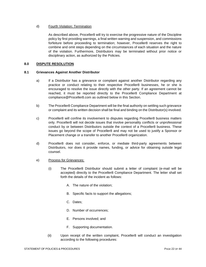#### d) Fourth Violation: Termination

As described above, Proceller8 will try to exercise the progressive nature of the Discipline policy by first providing warnings, a final written warning and suspension, and commissions forfeiture before proceeding to termination; however, Proceller8 reserves the right to combine and omit steps depending on the circumstances of each situation and the nature of the violation. Furthermore, Distributors may be terminated without prior notice or disciplinary action, as authorized by the Policies.

#### <span id="page-21-0"></span>**8.0 DISPUTE RESOLUTION**

#### <span id="page-21-1"></span>**8.1 Grievances Against Another Distributor**

- a) If a Distributor has a grievance or complaint against another Distributor regarding any practice or conduct relating to their respective Proceller8 businesses, he or she is encouraged to resolve the issue directly with the other party. If an agreement cannot be reached, it must be reported directly to the Proceller8 Compliance Department at compliance@Proceller8.com as outlined below in this Section.
- b) The Proceller8 Compliance Department will be the final authority on settling such grievance or complaint and its written decision shall be final and binding on the Distributor(s) involved.
- c) Proceller8 will confine its involvement to disputes regarding Proceller8 business matters only. Proceller8 will not decide issues that involve personality conflicts or unprofessional conduct by or between Distributors outside the context of a Proceller8 business. These issues go beyond the scope of Proceller8 and may not be used to justify a Sponsor or Placement change or a transfer to another Proceller8 organization.
- d) Proceller8 does not consider, enforce, or mediate third-party agreements between Distributors, nor does it provide names, funding, or advice for obtaining outside legal counsel.
- e) Process for Grievances:
	- (i) The Proceller8 Distributor should submit a letter of complaint (e-mail will be accepted) directly to the Proceller8 Compliance Department. The letter shall set forth the details of the incident as follows:
		- A. The nature of the violation;
		- B. Specific facts to support the allegations;
		- C. Dates;
		- D. Number of occurrences;
		- E. Persons involved; and
		- F. Supporting documentation.
	- (ii) Upon receipt of the written complaint, Proceller8 will conduct an investigation according to the following procedures: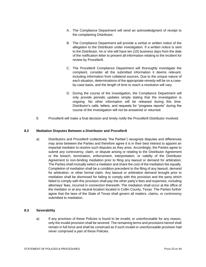- A. The Compliance Department will send an acknowledgment of receipt to the complaining Distributor;
- B. The Compliance Department will provide a verbal or written notice of the allegation to the Distributor under investigation. If a written notice is sent to the Distributor, he or she will have ten (10) business days from the date of the notification letter to present all information relating to the incident for review by Proceller8.
- C. The Proceller8 Compliance Department will thoroughly investigate the complaint, consider all the submitted information it deems relevant, including information from collateral sources. Due to the unique nature of each situation, determinations of the appropriate remedy will be on a caseby-case basis, and the length of time to reach a resolution will vary.
- D. During the course of the investigation, the Compliance Department will only provide periodic updates simply stating that the investigation is ongoing. No other information will be released during this time. Distributor's calls, letters, and requests for "progress reports" during the course of the investigation will not be answered or returned.
- f) Proceller8 will make a final decision and timely notify the Proceller8 Distributor involved.

#### <span id="page-22-0"></span>**8.2 Mediation Disputes Between a Distributor and Proceller8**

a) Distributors and Proceller8 (collectively "the Parties") recognize disputes and differences may arise between the Parties and therefore agree it is in their best interest to appoint an impartial mediator to resolve such disputes as they arise. Accordingly, the Parties agree to submit any controversy, claim, or dispute arising or relating to the Distributor Agreement or the breach, termination, enforcement, interpretation, or validity of the Distributor Agreement to non-binding mediation prior to filing any lawsuit or demand for arbitration. The Parties shall mutually select a mediator and share the cost of the mediation fee equally. Completion of mediation shall be a condition precedent to the filing of any lawsuit, demand for arbitration, or other formal claim. Any lawsuit or arbitration demand brought prior to mediation shall be dismissed for failing to comply with this provision and the party which failed to comply with this provision shall pay the other party's fees and expenses, including attorneys' fees, incurred in connection therewith. The mediation shall occur at the office of the mediator or at any neutral location located in Collin County, Texas. The Parties further agree that the laws of the State of Texas shall govern all matters, claims, or controversy submitted to mediation.

#### <span id="page-22-1"></span>**8.3 Severability**

a) If any provision of these Policies is found to be invalid, or unenforceable for any reason, only the invalid provision shall be severed. The remaining terms and provisions hereof shall remain in full force and shall be construed as if such invalid or unenforceable provision had never comprised a part of these Policies.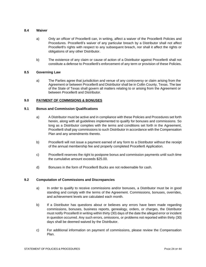#### <span id="page-23-0"></span>**8.4 Waiver**

- a) Only an officer of Proceller8 can, in writing, affect a waiver of the Proceller8 Policies and Procedures. Proceller8's waiver of any particular breach by a Distributor shall not affect Proceller8's rights with respect to any subsequent breach, nor shall it affect the rights or obligations of any other Distributor.
- b) The existence of any claim or cause of action of a Distributor against Proceller8 shall not constitute a defense to Proceller8's enforcement of any term or provision of these Policies.

#### <span id="page-23-1"></span>**8.5 Governing Law**

a) The Parties agree that jurisdiction and venue of any controversy or claim arising from the Agreement or between Proceller8 and Distributor shall be in Collin County, Texas. The law of the State of Texas shall govern all matters relating to or arising from the Agreement or between Proceller8 and Distributor.

#### <span id="page-23-2"></span>**9.0 PAYMENT OF COMMISIONS & BONUSES**

#### <span id="page-23-3"></span>**9.1 Bonus and Commission Qualifications**

- a) A Distributor must be active and in compliance with these Policies and Procedures set forth herein, along with all guidelines implemented to qualify for bonuses and commissions. So long as a Distributor complies with the terms and conditions set forth in the Agreement, Proceller8 shall pay commissions to such Distributor in accordance with the Compensation Plan and any amendments thereto.
- b) Proceller8 will not issue a payment earned of any form to a Distributor without the receipt of the annual membership fee and properly completed Proceller8 Application.
- c) Proceller8 reserves the right to postpone bonus and commission payments until such time the cumulative amount exceeds \$25.00.
- d) Bonuses in the form of Proceller8 Bucks are not redeemable for cash.

#### <span id="page-23-4"></span>**9.2 Computation of Commissions and Discrepancies**

- a) In order to qualify to receive commissions and/or bonuses, a Distributor must be in good standing and comply with the terms of the Agreement. Commissions, bonuses, overrides, and achievement levels are calculated each month.
- b) If a Distributor has questions about or believes any errors have been made regarding commissions, bonuses, business reports, genealogy, orders, or charges, the Distributor must notify Proceller8 in writing within thirty (30) days of the date the alleged error or incident in question occurred. Any such errors, omissions, or problems not reported within thirty (30) days shall be deemed waived by the Distributor.
- c) For additional information on payment of commissions, please review the Compensation Plan.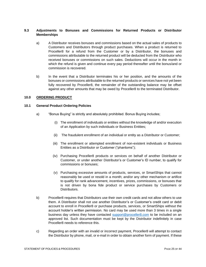#### <span id="page-24-0"></span>**9.3 Adjustments to Bonuses and Commissions for Returned Products or Distributor Memberships**

- a) A Distributor receives bonuses and commissions based on the actual sales of products to Customers and Distributors through product purchases. When a product is returned to Proceller8 for a refund from the Customer or by a Distributor, the bonuses and commissions attributable to the returned product will be deducted from the Distributor who received bonuses or commissions on such sales. Deductions will occur in the month in which the refund is given and continue every pay period thereafter until the bonus/and or commission is recovered.
- b) In the event that a Distributor terminates his or her position, and the amounts of the bonuses or commissions attributable to the returned products or services have not yet been fully recovered by Proceller8, the remainder of the outstanding balance may be offset against any other amounts that may be owed by Proceller8 to the terminated Distributor.

#### <span id="page-24-1"></span>**10.0 ORDERING PRODUCT**

#### <span id="page-24-2"></span>**10.1 General Product Ordering Policies**

- a) "Bonus Buying" is strictly and absolutely prohibited. Bonus Buying includes;
	- (i) The enrollment of individuals or entities without the knowledge of and/or execution of an Application by such individuals or Business Entities;
	- (ii) The fraudulent enrollment of an individual or entity as a Distributor or Customer;
	- (iii) The enrollment or attempted enrollment of non-existent individuals or Business Entities as a Distributor or Customer ("phantoms");
	- (iv) Purchasing Proceller8 products or services on behalf of another Distributor or Customer, or under another Distributor's or Customer's ID number, to qualify for commissions or bonuses;
	- (v) Purchasing excessive amounts of products, services, or SmartShips that cannot reasonably be used or resold in a month; and/or any other mechanism or artifice to qualify for rank advancement, incentives, prizes, commissions, or bonuses that is not driven by bona fide product or service purchases by Customers or Distributors.
- b) Proceller8 requires that Distributors use their own credit cards and not allow others to use them. A Distributor shall not use another Distributor's or Customer's credit card or debit account to enroll in Proceller8 or purchase products, services, or SmartShips without the account holder's written permission. No card may be used more than 3 times in a single business day unless they have contacted [support@proceller8.com](mailto:support@proceller8.com) to be included on an approved list. Such documentation must be kept by the Distributor indefinitely in case Proceller8 needs to reference this.
- c) Regarding an order with an invalid or incorrect payment, Proceller8 will attempt to contact the Distributor by phone, mail, or e-mail in order to obtain another form of payment. If these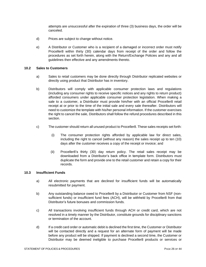attempts are unsuccessful after the expiration of three (3) business days, the order will be canceled.

- d) Prices are subject to change without notice.
- e) A Distributor or Customer who is a recipient of a damaged or incorrect order must notify Proceller8 within thirty (30) calendar days from receipt of the order and follow the procedures as set forth herein, along with the Return/Exchange Policies and any and all guidelines then effective and any amendments thereto.

#### <span id="page-25-0"></span>**10.2 Sales to Customers**

- a) Sales to retail customers may be done directly through Distributor replicated websites or directly using product that Distributor has in inventory.
- b) Distributors will comply with applicable consumer protection laws and regulations (including any consumer rights to receive specific notices and any rights to return product) afforded consumers under applicable consumer protection legislation. When making a sale to a customer, a Distributor must provide him/her with an official Proceller8 retail receipt at or prior to the time of the initial sale and every sale thereafter. Distributors will need to customize the template with his/her personal information. If the customer exercises the right to cancel the sale, Distributors shall follow the refund procedures described in this section.
- c) The customer should return all unused product to Proceller8. These sales receipts set forth:
	- (i) The consumer protection rights afforded by applicable law for direct sales, including the right to cancel (without any reason) the sales receipt up to ten (10) days after the customer receives a copy of the receipt or invoice; and
	- (ii) Proceller8's thirty (30) day return policy. The retail sales receipt may be downloaded from a Distributor's back office in template form. Distributors must duplicate the form and provide one to the retail customer and retain a copy for their records.

#### <span id="page-25-1"></span>**10.3 Insufficient Funds**

- a) All electronic payments that are declined for insufficient funds will be automatically resubmitted for payment.
- b) Any outstanding balance owed to Proceller8 by a Distributor or Customer from NSF (nonsufficient funds) or insufficient fund fees (ACH), will be withheld by Proceller8 from that Distributor's future bonuses and commission funds.
- c) All transactions involving insufficient funds through ACH or credit card, which are not resolved in a timely manner by the Distributor, constitute grounds for disciplinary sanctions or termination of the account.
- d) If a credit card order or automatic debit is declined the first time, the Customer or Distributor will be contacted directly and a request for an alternate form of payment will be made before any product will be shipped. If payment is declined a second time, the Customer or Distributor may be deemed ineligible to purchase Proceller8 products or services or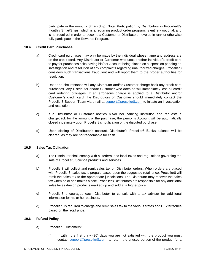participate in the monthly Smart-Ship. Note: Participation by Distributors in Proceller8's monthly SmartShips, which is a recurring product order program, is entirely optional, and is not required in order to become a Customer or Distributor, move up in rank or otherwise fully participate in the Rewards Program.

#### <span id="page-26-0"></span>**10.4 Credit Card Purchases**

- a) Credit card purchases may only be made by the individual whose name and address are on the credit card. Any Distributor or Customer who uses another individual's credit card to pay for purchases risks having his/her Account being placed on suspension pending an investigation and resolution of any complaints regarding unauthorized charges. Proceller8 considers such transactions fraudulent and will report them to the proper authorities for resolution.
- b) Under no circumstance will any Distributor and/or Customer charge back any credit card purchases. Any Distributor and/or Customer who does so will immediately lose all credit card ordering privileges. If an erroneous charge is applied to a Distributor and/or Customer's credit card, the Distributors or Customer should immediately contact the Proceller8 Support Team via email at [support@proceller8.com](mailto:support@proceller8.com) to initiate an investigation and resolution.
- c) If a Distributor or Customer notifies his/or her banking institution and requests a chargeback for the amount of the purchase, the person's Account will be automatically closed indefinitely upon Proceller8's notification of the disputed purchase.
- d) Upon closing of Distributor's account, Distributor's Proceller8 Bucks balance will be cleared, as they are not redeemable for cash.

#### <span id="page-26-1"></span>**10.5 Sales Tax Obligation**

- a) The Distributor shall comply with all federal and local taxes and regulations governing the sale of Proceller8 Science products and services.
- b) Proceller8 will collect and remit sales tax on Distributor orders. When orders are placed with Proceller8, sales tax is prepaid based upon the suggested retail price. Proceller8 will remit the sales tax to the appropriate jurisdictions. The Distributor may recover the sales tax when he or she makes a sale. Proceller8 Distributors are responsible for any additional sales taxes due on products marked up and sold at a higher price.
- c) Proceller8 encourages each Distributor to consult with a tax advisor for additional information for his or her business.
- d) Proceller8 is required to charge and remit sales tax to the various states and U.S territories based on the retail price.

#### <span id="page-26-2"></span>**10.6 Refund Policy**

- a) Proceller8 Customers:
	- (i) If within the first thirty (30) days you are not satisfied with the product you must contact [support@proceller8.com](mailto:support@proceller8.com) to return the unused portion of the product for a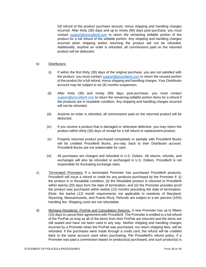full refund of the product purchase amount, minus shipping and handling charges incurred. After thirty (30) days and up to ninety (90) days post-purchase, you must contact [support@proceller8.com](mailto:support@proceller8.com) to return the remaining sellable portion of the product for a full refund of the sellable portion. Any shipping and handling charges incurred when shipping and/or returning the product will not be refunded. Additionally, anytime an order is refunded, all commissions paid on the returned product will be deducted.

#### b) Distributors:

- (i) If within the first thirty (30) days of the original purchase, you are not satisfied with the product, you must contact [support@proceller8.com](mailto:support@proceller8.com) to return the unused portion of the product for a full refund, minus shipping and handling charges. Your Distributor account may be subject to six (6) months suspension.
- (ii) After thirty (30) and ninety (90) days post-purchase, you must contact [support@proceller8.com](mailto:support@proceller8.com) to return the remaining sellable portion items for a refund if the products are in resalable condition. Any shipping and handling charges incurred will not be refunded.
- (iii) Anytime an order is refunded, all commissions paid on the returned product will be deducted.
- (iv) If you receive a product that is damaged or otherwise defective, you may return the product within thirty (30) days of receipt for a full refund or replacement product.
- (v) Properly returned product purchased completely or partially with Proceller8 Bucks will be credited Proceller8 Bucks, pro-rata, back to their Distributor account. Proceller8 Bucks are not redeemable for cash.
- (vi) All purchases are charged and refunded in U.S. Dollars. All returns, refunds, and exchanges will also be refunded or exchanged in U.S. Dollars. Proceller8 is not responsible for fluctuating exchange rates.
- c) Terminated Promoters If a terminated Promoter has purchased Proceller8 products, Proceller8 will issue a refund or credit for any products purchased by the Promoter if: (i) the product is in Resalable condition; (ii) the Resalable product is returned to Proceller8 within twenty (20) days form the date of termination; and (iii) the Promoter provides proof the product was purchased within twelve (12) months preceding the date of termination. [Note: the twelve (12) month requirements not applicable to residents of Maryland, Wyoming, Massachusetts, and Puerto Rico]. Refunds are subject to a ten percent (10%) handling fee. Shipping costs are not refundable.
- d) Montana Residents: ProPak and Cancellation Returns. A new Promoter has up to fifteen (15) days to cancel their agreement with Proceller8. The Promoter is entitled to a full refund of the ProPak as long as all of the items from their ProPak are returned and the items are still sealed and have not been used in any way. Neither shipping and handling charges incurred by a Promoter when the ProPak was purchased, nor return shipping fees, will be refunded. If the purchases were made through a credit card, the refund will be credited back to the same account used when purchasing. Per Proceller8's refund policy, if a Promoter was paid a commission based on products(s) purchased, and such product(s) is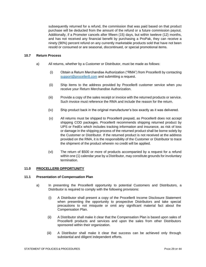subsequently returned for a refund, the commission that was paid based on that product purchase will be deducted from the amount of the refund or a future commission payout. Additionally, if a Promoter cancels after fifteen (15) days, but within tweleve (12) months, and has not received any financial benefit by purchasing a ProPak, they can receive a ninety (90%) percent refund on any currently marketable products sold that have not been resold or consumed or are seasonal, discontinued, or special promotional items.

#### <span id="page-28-0"></span>**10.7 Return Process**

- a) All returns, whether by a Customer or Distributor, must be made as follows:
	- (i) Obtain a Return Merchandise Authorization ("RMA") from Proceller8 by contacting [support@proceller8.com](mailto:support@proceller8.com) and submitting a request.
	- (ii) Ship items to the address provided by Proceller8 customer service when you receive your Return Merchandise Authorization.
	- (iii) Provide a copy of the sales receipt or invoice with the returned products or service. Such invoice must reference the RMA and include the reason for the return.
	- (iv) Ship product back in the original manufacturer's box exactly as it was delivered.
	- (v) All returns must be shipped to Proceller8 prepaid, as Proceller8 does not accept shipping COD packages. Proceller8 recommends shipping returned product by UPS or FedEx which includes tracking information and insurance, as risk of loss or damage in the shipping process of the returned product shall be borne solely by the Customer or Distributor. If the returned product is not received at the address provided on the RMA, it is the responsibility of the Customer or Distributor to trace the shipment of the product wherein no credit will be applied.
	- (vi) The return of \$500 or more of products accompanied by a request for a refund within one (1) calendar year by a Distributor, may constitute grounds for involuntary termination.

#### <span id="page-28-1"></span>**11.0 PROCELLER8 OPPORTUNITY**

#### <span id="page-28-2"></span>**11.1 Presentation of Compensation Plan**

- a) In presenting the Proceller8 opportunity to potential Customers and Distributors, a Distributor is required to comply with the following provisions:
	- (i) A Distributor shall present a copy of the Proceller8 Income Disclosure Statement when presenting the opportunity to prospective Distributors and take special precautions to not misquote or omit any significant material fact about the Compensation Plan.
	- (ii) A Distributor shall make it clear that the Compensation Plan is based upon sales of Proceller8 products and services and upon the sales from other Distributors sponsored within their organization.
	- (iii) A Distributor shall make it clear that success can be achieved only through substantial and diligent independent efforts.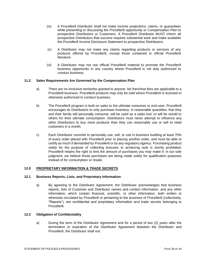- (iv) A Proceller8 Distributor shall not make income projections, claims, or guarantees while presenting or discussing the Proceller8 opportunity or Compensation Plan to prospective Distributors or Customers. A Proceller8 Distributor MUST inform all prospective Distributors that success requires substantial work and make available the Proceller8 Income Disclosure Statement to prospective Distributors.
- (v) A Distributor may not make any claims regarding products or services of any products offered by Proceller8, except those contained in official Proceller8 literature.
- (vi) A Distributor may not use official Proceller8 material to promote the Proceller8 business opportunity in any country where Proceller8 is not duly authorized to conduct business.

#### <span id="page-29-0"></span>**11.2 Sales Requirements Are Governed by the Compensation Plan**

- a) There are no exclusive territories granted to anyone. No franchise fees are applicable to a Proceller8 business. Proceller8 products may only be sold where Proceller8 is licensed or otherwise authorized to conduct business.
- b) The Proceller8 program is built on sales to the ultimate consumer or end-user. Proceller8 encourages its Distributors to only purchase inventory, in reasonable quantities, that they and their family will personally consume, will be used as a sales tool, or will be resold to others for their ultimate consumption. Distributors must never attempt to influence any other Distributors to buy more products than they can reasonably use or sell to retail customers in a month.
- c) Each Distributor commits to personally use, sell, or use in business building at least 70% of every order placed with Proceller8 prior to placing another order, and must be able to certify as much if demanded by Proceller8 or by any regulatory agency. Purchasing product solely for the purpose of collecting bonuses or achieving rank is strictly prohibited**.** Proceller8 retains the right to limit the amount of purchases you may make if, in our sole judgment, we believe those purchases are being made solely for qualification purposes instead of for consumption or resale.

#### <span id="page-29-1"></span>**12.0 PROPRIETARY INFORMATION & TRADE SECRETS**

#### <span id="page-29-2"></span>**12.1 Business Reports, Lists, and Proprietary Information**

a) By agreeing to the Distributor Agreement, the Distributor acknowledges that business reports, lists of Customer and Distributor names and contact information, and any other information, which contain financial, scientific, or other information, both written or otherwise circulated by Proceller8 or pertaining to the business of Proceller8 (collectively, "Reports"), are confidential and proprietary information and trade secrets belonging to Proceller8.

#### <span id="page-29-3"></span>**12.2 Obligation of Confidentiality**

a) During the term of the Distributor Agreement and for a period of two (2) years after the termination or expiration of the Distributor Agreement between the Distributor and Proceller8, the Distributor shall not: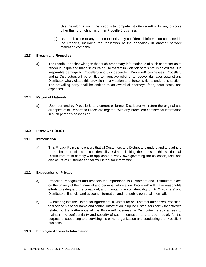- (i) Use the information in the Reports to compete with Proceller8 or for any purpose other than promoting his or her Proceller8 business;
- (ii) Use or disclose to any person or entity any confidential information contained in the Reports, including the replication of the genealogy in another network marketing company.

#### <span id="page-30-0"></span>**12.3 Breach and Remedies**

a) The Distributor acknowledges that such proprietary information is of such character as to render it unique and that disclosure or use thereof in violation of this provision will result in irreparable damage to Proceller8 and to independent Proceller8 businesses. Proceller8 and its Distributors will be entitled to injunctive relief or to recover damages against any Distributor who violates this provision in any action to enforce its rights under this section. The prevailing party shall be entitled to an award of attorneys' fees, court costs, and expenses.

#### <span id="page-30-1"></span>**12.4 Return of Materials**

a) Upon demand by Proceller8, any current or former Distributor will return the original and all copies of all Reports to Proceller8 together with any Proceller8 confidential information in such person's possession.

#### <span id="page-30-2"></span>**13.0 PRIVACY POLICY**

#### <span id="page-30-3"></span>**13.1 Introduction**

a) This Privacy Policy is to ensure that all Customers and Distributors understand and adhere to the basic principles of confidentiality. Without limiting the terms of this section, all Distributors must comply with applicable privacy laws governing the collection, use, and disclosure of Customer and fellow Distributor information.

#### <span id="page-30-4"></span>**13.2 Expectation of Privacy**

- a) Proceller8 recognizes and respects the importance its Customers and Distributors place on the privacy of their financial and personal information. Proceller8 will make reasonable efforts to safeguard the privacy of, and maintain the confidentiality of, its Customers' and Distributors' financial and account information and nonpublic personal information.
- b) By entering into the Distributor Agreement, a Distributor or Customer authorizes Proceller8 to disclose his or her name and contact information to upline Distributors solely for activities related to the furtherance of the Proceller8 business. A Distributor hereby agrees to maintain the confidentiality and security of such information and to use it solely for the purpose of supporting and servicing his or her organization and conducting the Proceller8 business.

#### <span id="page-30-5"></span>**13.3 Employee Access to Information**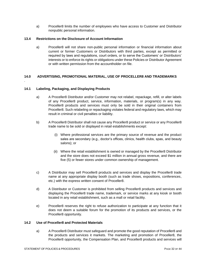a) Proceller8 limits the number of employees who have access to Customer and Distributor nonpublic personal information.

#### <span id="page-31-0"></span>**13.4 Restrictions on the Disclosure of Account Information**

a) Proceller8 will not share non-public personal information or financial information about current or former Customers or Distributors with third parties, except as permitted or required by laws and regulations, court orders, or to serve the Customers' or Distributors' interests or to enforce its rights or obligations under these Policies or Distributor Agreement or with written permission from the accountholder on file.

#### <span id="page-31-1"></span>**14.0 ADVERTISING, PROMOTIONAL MATERIAL, USE OF PROCELLER8 AND TRADEMARKS**

#### <span id="page-31-2"></span>**14.1 Labeling, Packaging, and Displaying Products**

.

- a) A Proceller8 Distributor and/or Customer may not relabel, repackage, refill, or alter labels of any Proceller8 product, service, information, materials, or program(s) in any way. Proceller8 products and services must only be sold in their original containers from Proceller8. Such relabeling or repackaging violates federal and regulatory laws, which may result in criminal or civil penalties or liability.
- b) A Proceller8 Distributor shall not cause any Proceller8 product or service or any Proceller8 trade name to be sold or displayed in retail establishments except:
	- (i) Where professional services are the primary source of revenue and the product sales are secondary (e.g., doctor's offices, clinics, health clubs, spas, and beauty salons); or
	- (ii) Where the retail establishment is owned or managed by the Proceller8 Distributor and the store does not exceed \$1 million in annual gross revenue, and there are five (5) or fewer stores under common ownership of management.
- c) A Distributor may sell Proceller8 products and services and display the Proceller8 trade name at any appropriate display booth (such as trade shows, expositions, conferences, etc.) with the express written consent of Proceller8.
- d) A Distributor or Customer is prohibited from selling Proceller8 products and services and displaying the Proceller8 trade name, trademark, or service marks at any kiosk or booth located in any retail establishment, such as a mall or retail facility.
- e) Proceller8 reserves the right to refuse authorization to participate at any function that it does not deem a suitable forum for the promotion of its products and services, or the Proceller8 opportunity.

#### <span id="page-31-3"></span>**14.2 Use of Proceller8 and Protected Materials**

a) A Proceller8 Distributor must safeguard and promote the good reputation of Proceller8 and the products and services it markets. The marketing and promotion of Proceller8, the Proceller8 opportunity, the Compensation Plan, and Proceller8 products and services will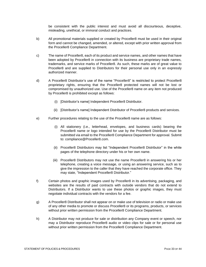be consistent with the public interest and must avoid all discourteous, deceptive, misleading, unethical, or immoral conduct and practices.

- b) All promotional materials supplied or created by Proceller8 must be used in their original form and cannot be changed, amended, or altered, except with prior written approval from the Proceller8 Compliance Department.
- c) The name of Proceller8, each of its product and service names, and other names that have been adopted by Proceller8 in connection with its business are proprietary trade names, trademarks, and service marks of Proceller8. As such, these marks are of great value to Proceller8 and are supplied to Distributors for their personal use only in an expressly authorized manner.
- d) A Proceller8 Distributor's use of the name "Proceller8" is restricted to protect Proceller8 proprietary rights, ensuring that the Proceller8 protected names will not be lost or compromised by unauthorized use. Use of the Proceller8 name on any item not produced by Proceller8 is prohibited except as follows:
	- (i) [Distributor's name] Independent Proceller8 Distributor.
	- (ii) [Distributor's name] Independent Distributor of Proceller8 products and services.
- e) Further procedures relating to the use of the Proceller8 name are as follows:
	- (i) All stationery (i.e., letterhead, envelopes, and business cards) bearing the Proceller8 name or logo intended for use by the Proceller8 Distributor must be submitted via email to the Proceller8 Compliance Department for approval. Submit to: compliance@Proceller8.com.
	- (ii) Proceller8 Distributors may list "Independent Proceller8 Distributor" in the white pages of the telephone directory under his or her own name.
	- (iii) Proceller8 Distributors may not use the name Proceller8 in answering his or her telephone, creating a voice message, or using an answering service, such as to give the impression to the caller that they have reached the corporate office. They may state, "Independent Proceller8 Distributor."
- f) Certain photos and graphic images used by Proceller8 in its advertising, packaging, and websites are the results of paid contracts with outside vendors that do not extend to Distributors. If a Distributor wants to use these photos or graphic images, they must negotiate individual contracts with the vendors for a fee.
- g) A Proceller8 Distributor shall not appear on or make use of television or radio or make use of any other media to promote or discuss Proceller8 or its programs, products, or services without prior written permission from the Proceller8 Compliance Department.
- h) A Distributor may not produce for sale or distribution any Company event or speech, nor may a Distributor reproduce Proceller8 audio or video clips for sale or for personal use without prior written permission from the Proceller8 Compliance Department.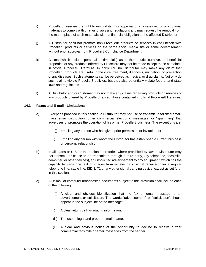- i) Proceller8 reserves the right to rescind its prior approval of any sales aid or promotional materials to comply with changing laws and regulations and may request the removal from the marketplace of such materials without financial obligation to the affected Distributor.
- j) A Distributor shall not promote non-Proceller8 products or services in conjunction with Proceller8 products or services on the same social media site or same advertisement without prior approval from Proceller8 Compliance Department.
- k) Claims (which include personal testimonials) as to therapeutic, curative, or beneficial properties of any products offered by Proceller8 may not be made except those contained in official Proceller8 literature. In particular, no Distributor may make any claim that Proceller8 products are useful in the cure, treatment, diagnosis, mitigation, or prevention of any diseases. Such statements can be perceived as medical or drug claims. Not only do such claims violate Proceller8 policies, but they also potentially violate federal and state laws and regulations.
- l) A Distributor and/or Customer may not make any claims regarding products or services of any products offered by Proceller8, except those contained in official Proceller8 literature.

#### <span id="page-33-0"></span>**14.3 Faxes and E-mail - Limitations**

- a) Except as provided in this section, a Distributor may not use or transmit unsolicited email, mass email distribution, other commercial electronic messages, or "spamming" that advertises or promotes the operation of his or her Proceller8 business. The exceptions are:
	- (i) Emailing any person who has given prior permission or invitation; or
	- (ii) Emailing any person with whom the Distributor has established a current business or personal relationship.
- b) In all states or U.S. or International territories where prohibited by law, a Distributor may not transmit, or cause to be transmitted through a third party, (by telephone, facsimile, computer, or other devices), an unsolicited advertisement to any equipment, which has the capacity to transcribe text or images from an electronic signal received over a regular telephone line, cable line, ISDN, T1 or any other signal carrying device, except as set forth in this section.
- c) All e-mail or computer broadcasted documents subject to this provision shall include each of the following:
	- (i) A clear and obvious identification that the fax or email message is an advertisement or solicitation. The words "advertisement" or "solicitation" should appear in the subject line of the message;
	- (ii) A clear return path or routing information;
	- (iii) The use of legal and proper domain name;
	- (iv) A clear and obvious notice of the opportunity to decline to receive further commercial facsimile or email messages from the sender;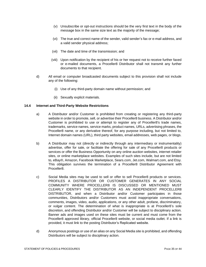- (v) Unsubscribe or opt-out instructions should be the very first text in the body of the message box in the same size text as the majority of the message;
- (vi) The true and correct name of the sender, valid sender's fax or e-mail address, and a valid sender physical address;
- (vii) The date and time of the transmission; and
- (viii) Upon notification by the recipient of his or her request not to receive further faxed or e-mailed documents, a Proceller8 Distributor shall not transmit any further documents to that recipient.
- d) All email or computer broadcasted documents subject to this provision shall not include any of the following:
	- (i) Use of any third-party domain name without permission; and
	- (ii) Sexually explicit materials.

#### <span id="page-34-0"></span>**14.4 Internet and Third-Party Website Restrictions**

- a) A Distributor and/or Customer is prohibited from creating or registering any third-party website in order to promote, sell, or advertise their Proceller8 business. A Distributor and/or Customer is prohibited to use or attempt to register any of Proceller8's trade names, trademarks, service names, service marks, product names, URLs, advertising phrases, the Proceller8 name, or any derivative thereof, for any purpose including, but not limited to, Internet domain names (URL), third party websites, email addresses, web pages, or blogs.
- b) A Distributor may not (directly or indirectly through any intermediary or instrumentality) advertise, offer for sale, or facilitate the offering for sale of any Proceller8 products or services or offer the Business Opportunity on any online auction websites, internet retailer sites, or online marketplace websites. Examples of such sites include, but are not limited to, eBay®, Amazon, Facebook Marketplace, Sears.com, Jet.com, Walmart.com, and Etsy. This obligation survives the termination of a Proceller8 Distributor Agreement with Proceller8.
- c) Social Media sites may be used to sell or offer to sell Proceller8 products or services. PROFILES A DISTRIBUTOR OR CUSTOMER GENERATES IN ANY SOCIAL COMMUNITY WHERE PROCELLER8 IS DISCUSSED OR MENTIONED MUST CLEARLY IDENTIFY THE DISTRIBUTOR AS AN INDEPENDENT PROCELLER8 DISTRIBUTOR, and when a Distributor and/or Customer participates in those communities, Distributors and/or Customers must avoid inappropriate conversations, comments, images, video, audio, applications, or any other adult, profane, discriminatory, or vulgar content. The determination of what is inappropriate is at Proceller8's sole discretion, and offending Distributor and/or Customer will be subject to disciplinary action. Banner ads and images used on these sites must be current and must come from the Proceller8 approved library, official Proceller8 website, or social media outlet. If a link is provided, it must link to the posting Distributor's Replicated website.
- d) Anonymous postings or use of an alias on any Social Media site is prohibited, and offending Distributors will be subject to disciplinary action.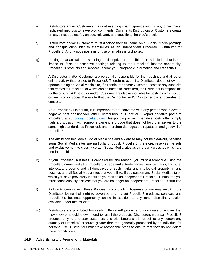- e) Distributors and/or Customers may not use blog spam, spamdexing, or any other massreplicated methods to leave blog comments. Comments Distributors or Customers create or leave must be useful, unique, relevant, and specific to the blog's article.
- f) Distributors and/or Customers must disclose their full name on all Social Media postings and conspicuously identify themselves as an Independent Proceller8 Distributor for Proceller8. Anonymous postings or use of an alias is prohibited.
- g) Postings that are false, misleading, or deceptive are prohibited. This includes, but is not limited to, false or deceptive postings relating to the Proceller8 income opportunity, Proceller8's products and services, and/or your biographic information and credentials.
- h) A Distributor and/or Customer are personally responsible for their postings and all other online activity that relates to Proceller8. Therefore, even if a Distributor does not own or operate a blog or Social Media site, if a Distributor and/or Customer posts to any such site that relates to Proceller8 or which can be traced to Proceller8, the Distributor is responsible for the posting. A Distributor and/or Customer are also responsible for postings which occur on any blog or Social Media site that the Distributor and/or Customer owns, operates, or controls.
- i) As a Proceller8 Distributor, it is important to not converse with any person who places a negative post against you, other Distributors, or Proceller8. Report negative posts to Proceller8 at [support@proceller8.com.](mailto:support@proceller8.com) Responding to such negative posts often simply fuels a discussion with someone carrying a grudge that does not hold themselves to the same high standards as Proceller8, and therefore damages the reputation and goodwill of Proceller8.
- j) The distinction between a Social Media site and a website may not be clear-cut, because some Social Media sites are particularly robust. Proceller8, therefore, reserves the sole and exclusive right to classify certain Social Media sites as third-party websites which are herein prohibited.
- k) If your Proceller8 business is canceled for any reason, you must discontinue using the Proceller8 name, and all of Proceller8's trademarks, trade names, service marks, and other intellectual property, and all derivatives of such marks and intellectual property, in any postings and all Social Media sites that you utilize. If you post on any Social Media site on which you have previously identified yourself as an Independent Proceller8 Distributor, you must conspicuously disclose that you are no longer an Independent Proceller8 Distributor.
- l) Failure to comply with these Policies for conducting business online may result in the Distributor losing their right to advertise and market Proceller8 products, services, and Proceller8's business opportunity online in addition to any other disciplinary action available under the Policies.
- m) Distributors are prohibited from selling Proceller8 products to individuals or entities that they know or should know, intend to resell the products. Distributors must sell Proceller8 products only to end-user customers and Distributors shall not sell to any person any quantity of Proceller8 products greater than that generally purchased by an individual for personal use. Distributors must take reasonable steps to ensure that they do not violate these prohibitions.

#### <span id="page-35-0"></span>**14.5 Advertising and Promotional Materials**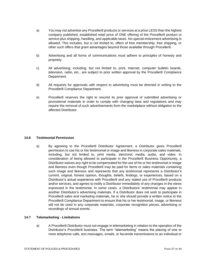- a) You may not advertise any Proceller8 products or services at a price LESS than the highest company published, established retail price of ONE offering of the Proceller8 product or service plus shipping, handling, and applicable taxes. No special enticement advertising is allowed. This includes, but is not limited to, offers of free membership, free shipping, or other such offers that grant advantages beyond those available through Proceller8.
- b) Advertising and all forms of communications must adhere to principles of honesty and propriety.
- c) All advertising, including, but not limited to, print, Internet, computer bulletin boards, television, radio, etc., are subject to prior written approval by the Proceller8 Compliance Department.
- d) All requests for approvals with respect to advertising must be directed in writing to the Proceller8 Compliance Department.
- e) Proceller8 reserves the right to rescind its prior approval of submitted advertising or promotional materials in order to comply with changing laws and regulations and may require the removal of such advertisements from the marketplace without obligation to the affected Distributor.

#### <span id="page-36-0"></span>**14.6 Testimonial Permission**

a) By agreeing to the Proceller8 Distributor Agreement, a Distributor gives Proceller8 permission to use his or her testimonial or image and likeness in corporate sales materials, including, but not limited to, print media, electronic media, audio, and video. In consideration of being allowed to participate in the Proceller8 Business Opportunity, a Distributor waives any right to be compensated for the use of his or her testimonial or image and likeness even though Proceller8 may be paid for items or sales materials containing such image and likeness and represents that any testimonial represents a Distributor's current, original, honest opinion, thoughts, beliefs, findings, or experiences, based on a Distributor's actual experience with Proceller8 and any stated use of Proceller8 products and/or services, and agrees to notify a Distributor immediately of any changes in the views expressed in the testimonial. In some cases, a Distributors' testimonial may appear in another Distributor's advertising materials. If a Distributor does not wish to participate in Proceller8 sales and marketing materials, he or she should provide a written notice to the Proceller8 Compliance Department to ensure that his or her testimonial, image, or likeness will not be used in any corporate materials, corporate recognition pieces, advertising or recordings of annual events.

#### <span id="page-36-1"></span>**14.7 Telemarketing - Limitations**

a) A Proceller8 Distributor must not engage in telemarketing in relation to the operation of the Distributor's Proceller8 business. The term "telemarketing" means the placing of one or more telephone calls, text messages, emails, or facsimile transmissions to an individual or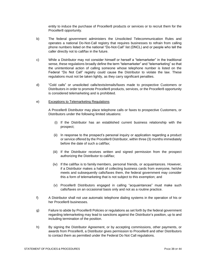entity to induce the purchase of Proceller8 products or services or to recruit them for the Proceller8 opportunity.

- b) The federal government administers the Unsolicited Telecommunication Rules and operates a national Do-Not-Call registry that requires businesses to refrain from calling phone numbers listed on the national "Do-Not-Call" list (DNCL) and or people who tell the caller directly not to call/fax in the future.
- c) While a Distributor may not consider himself or herself a "telemarketer" in the traditional sense, these regulations broadly define the term "telemarketer" and "telemarketing" so that the unintentional action of calling someone whose telephone number is listed on the Federal "Do Not Call" registry could cause the Distributor to violate the law. These regulations must not be taken lightly, as they carry significant penalties.
- d) "Cold calls" or unsolicited calls/texts/emails/faxes made to prospective Customers or Distributors in order to promote Proceller8 products, services, or the Proceller8 opportunity is considered telemarketing and is prohibited.

#### e) Exceptions to Telemarketing Regulations

A Proceller8 Distributor may place telephone calls or faxes to prospective Customers, or Distributors under the following limited situations:

- (i) If the Distributor has an established current business relationship with the prospect;
- (ii) In response to the prospect's personal inquiry or application regarding a product or service offered by the Proceller8 Distributor, within three (3) months immediately before the date of such a call/fax;
- (iii) If the Distributor receives written and signed permission from the prospect authorizing the Distributor to call/fax;
- (iv) If the call/fax is to family members, personal friends, or acquaintances. However, if a Distributor makes a habit of collecting business cards from everyone, he/she meets and subsequently calls/faxes them, the federal government may consider this a form of telemarketing that is not subject to this exemption; and
- (v) Proceller8 Distributors engaged in calling "acquaintances" must make such calls/faxes on an occasional basis only and not as a routine practice.
- f) A Distributor shall not use automatic telephone dialing systems in the operation of his or her Proceller8 businesses.
- g) Failure to abide by Proceller8 Policies or regulations as set forth by the federal government regarding telemarketing may lead to sanctions against the Distributor's position, up to and including termination of the position.
- h) By signing the Distributor Agreement, or by accepting commissions, other payments, or awards from Proceller8, a Distributor gives permission to Proceller8 and other Distributors to contact them as permitted under the Federal Do Not Call regulations.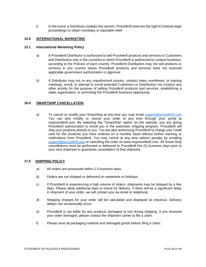i) In the event, a Distributor violates this section, Proceller8 reserves the right to institute legal proceedings to obtain monetary or equitable relief.

#### <span id="page-38-0"></span>**15.0 INTERNATIONAL MARKETING**

#### <span id="page-38-1"></span>**15.1 International Marketing Policy**

- a) A Proceller8 Distributor is authorized to sell Proceller8 products and services to Customers and Distributors only in the countries in which Proceller8 is authorized to conduct business, according to the Policies of each country. Proceller8 Distributors may not sell products or services in any country where Proceller8 products and services have not received applicable government authorization or approval.
- b) A Distributor may not, in any unauthorized country, conduct sales, enrollment, or training meetings, enroll, or attempt to enroll potential Customers or Distributors nor conduct any other activity for the purpose of selling Proceller8 products and services, establishing a sales organization, or promoting the Proceller8 business opportunity.

#### **16.0 SMARTSHIP CANCELLATION**

a) To cancel or modify your SmartShip at any time you may email [support@proceller8.com](mailto:support@proceller8.com) You can also modify or cancel your order at any time through your portal at myproceller8.com. By selecting the "SmartShip" option on the website, you are giving Proceller8 authorization to enroll you in the automatic shipping program. Proceller8 will ship your products directly to you. You are also authorizing Proceller8 to charge your credit card for the products you have ordered on a monthly basis without further warning or notifications from Proceller8. You may cancel at any time without penalty by emailing [support@proceller8.com](mailto:support@proceller8.com) or canceling the order on www.myproceller8.com. All Smart-Ship cancellations must be performed or delivered to Proceller8 five (5) business days prior to your next shipment to guarantee cancellation of that shipment.

#### **17.0 SHIPPING POLICY**

- a) All orders are processed within 2-3 business days.
- b) Orders are not shipped or delivered on weekends or holidays.
- c) If Proceller8 is experiencing a high volume of orders, shipments may be delayed by a few days. Please allow additional days in transit for delivery. If there will be a significant delay in shipment of your order, we will contact you via email or telephone.
- d) Shipping charges for your order will be calculated and displayed at checkout. Delivery delays can occasionally occur.
- e) Proceller8 is not liable for any products damaged or lost during shipping. If you received your order damaged, please contact the shipment carrier to file a claim.
- f) Please save all packaging material and damaged goods before filing a claim.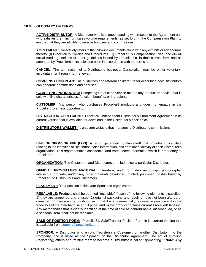#### <span id="page-39-0"></span>**18.0 GLOSSARY OF TERMS**

**ACTIVE DISTRIBUTOR:** A Distributor who is in good standing with respect to the Agreement and who satisfies the minimum sales volume requirements, as set forth in the Compensation Plan, to ensure that they are eligible to receive bonuses and commissions.

**AGREEMENT:** Collectively refers to the following documents along with any exhibits or addendums thereto: (I) Proceller8's Policies and Procedures; (ii) Proceller8's Compensation Plan; and (iii) All social media guidelines or other guidelines issued by Proceller8's, in their current form and as amended by Proceller8 in its sole discretion in accordance with the terms hereof.

**CANCEL:** The termination of a Distributor's business. Cancellation may be either voluntary, involuntary, or through non-renewal.

**COMPENSATION PLAN:** The guidelines and referenced literature for describing how Distributors can generate commissions and bonuses.

**COMPETING PRODUCT(S):** Competing Product or Service means any product or service that is sold with like characteristics, function, benefits, or ingredients.

**CUSTOMER:** Any person who purchases Proceller8 products and does not engage in the Proceller8 business opportunity.

**DISTRIBUTOR AGREEMENT:** Proceller8 Independent Distributor's Enrollment Agreement in its current version that is available for download in the Distributor's back office.

**DISTRIBUTORS WALLET:** Is a secure website that manages a Distributor's commissions.

**LINE OF SPONSORSHIP (LOS):** A report generated by Proceller8 that provides critical data relating to the identities of Distributor, sales information, and enrollment activity of each Distributor's organization. This report contains confidential and trade secret information which is proprietary to Proceller8.

**ORGANIZATION:** The Customers and Distributors enrolled below a particular Distributor.

**OFFICIAL PROCELLER8 MATERIAL:** Literature, audio or video recordings, photographs, intellectual property, and/or any other materials developed, printed, published, or distributed by Proceller8 to Distributors and Customers.

**PLACEMENT:** Your position inside your Sponsor's organization.

**RESALABLE:** Products shall be deemed "resalable" if each of the following elements is satisfied: 1) they are unopened and unused; 2) original packaging and labeling have not been altered or damaged; 3) they are in a condition such that it is a commercially reasonable practice within the trade to sell the merchandise at full price, and 4) the product contains current Proceller8 labeling. Any merchandise that is clearly identified at the time of sale as nonreturnable, discontinued, or as a seasonal item, shall not be resalable.

**SALE OF POSITION FORM:** Proceller8's Sale/Transfer Position Form in its current version that is available from [support@proceller8.com.](mailto:support@proceller8.com)

**SPONSOR**: A Distributor who enrolls (registers) a Customer, or another Distributor into the Company, and is listed as the Sponsor on the Distributor Agreement. The act of enrolling (registering) others and training them to become a Distributor is called "sponsoring." \***Note: Any**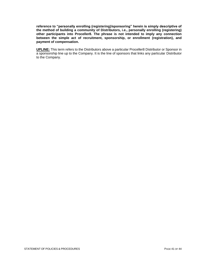**reference to "personally enrolling (registering)/sponsoring" herein is simply descriptive of the method of building a community of Distributors, i.e., personally enrolling (registering) other participants into Proceller8. The phrase is not intended to imply any connection between the simple act of recruitment, sponsorship, or enrollment (registration), and payment of compensation.**

**UPLINE:** This term refers to the Distributors above a particular Proceller8 Distributor or Sponsor in a sponsorship line up to the Company. It is the line of sponsors that links any particular Distributor to the Company.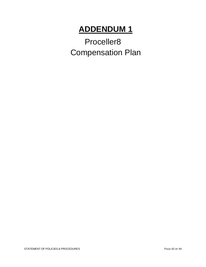## **ADDENDUM 1**

Proceller8 Compensation Plan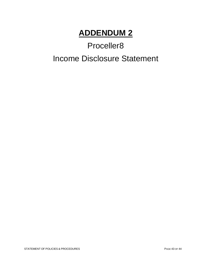### **ADDENDUM 2**

# Proceller8 Income Disclosure Statement